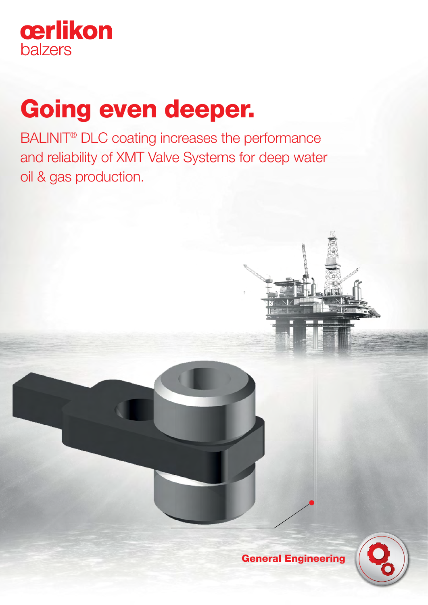

# Going even deeper.

BALINIT® DLC coating increases the performance and reliability of XMT Valve Systems for deep water oil & gas production.



General Engineering